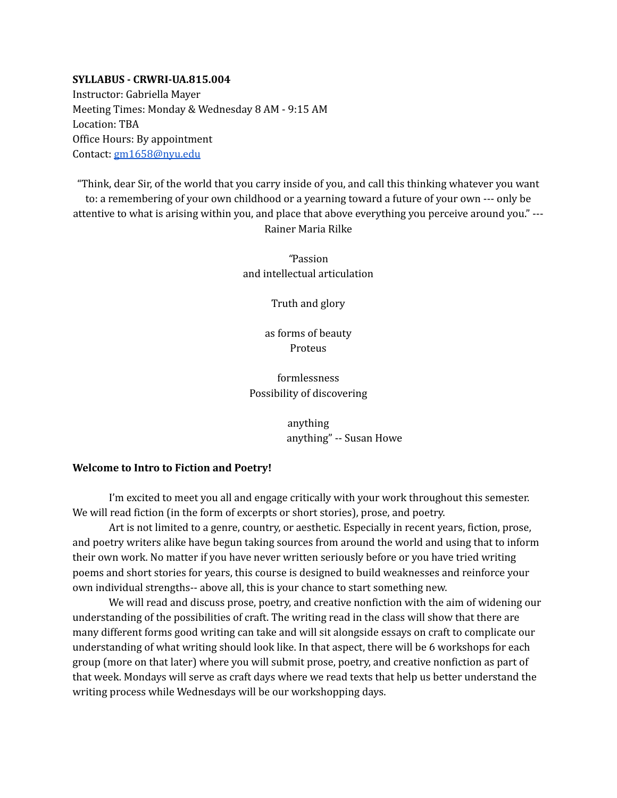#### **SYLLABUS - CRWRI-UA.815.004**

Instructor: Gabriella Mayer Meeting Times: Monday & Wednesday 8 AM - 9:15 AM Location: TBA Office Hours: By appointment Contact: [gm1658@nyu.edu](mailto:gm1658@nyu.edu)

"Think, dear Sir, of the world that you carry inside of you, and call this thinking whatever you want to: a remembering of your own childhood or a yearning toward a future of your own --- only be attentive to what is arising within you, and place that above everything you perceive around you." --- Rainer Maria Rilke

> *"*Passion and intellectual articulation

> > Truth and glory

as forms of beauty Proteus

formlessness Possibility of discovering

> anything anything" -- Susan Howe

#### **Welcome to Intro to Fiction and Poetry!**

I'm excited to meet you all and engage critically with your work throughout this semester. We will read fiction (in the form of excerpts or short stories), prose, and poetry.

Art is not limited to a genre, country, or aesthetic. Especially in recent years, fiction, prose, and poetry writers alike have begun taking sources from around the world and using that to inform their own work. No matter if you have never written seriously before or you have tried writing poems and short stories for years, this course is designed to build weaknesses and reinforce your own individual strengths-- above all, this is your chance to start something new.

We will read and discuss prose, poetry, and creative nonfiction with the aim of widening our understanding of the possibilities of craft. The writing read in the class will show that there are many different forms good writing can take and will sit alongside essays on craft to complicate our understanding of what writing should look like. In that aspect, there will be 6 workshops for each group (more on that later) where you will submit prose, poetry, and creative nonfiction as part of that week. Mondays will serve as craft days where we read texts that help us better understand the writing process while Wednesdays will be our workshopping days.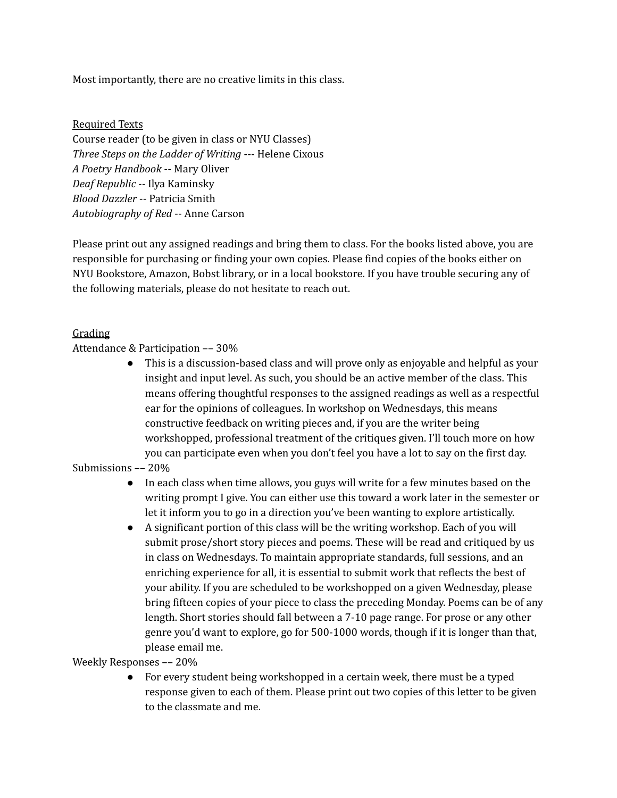Most importantly, there are no creative limits in this class.

#### Required Texts

Course reader (to be given in class or NYU Classes) *Three Steps on the Ladder of Writing* --- Helene Cixous *A Poetry Handbook* -- Mary Oliver *Deaf Republic --* Ilya Kaminsky *Blood Dazzler* -- Patricia Smith *Autobiography of Red* -- Anne Carson

Please print out any assigned readings and bring them to class. For the books listed above, you are responsible for purchasing or finding your own copies. Please find copies of the books either on NYU Bookstore, Amazon, Bobst library, or in a local bookstore. If you have trouble securing any of the following materials, please do not hesitate to reach out.

#### Grading

#### Attendance & Participation –– 30%

● This is a discussion-based class and will prove only as enjoyable and helpful as your insight and input level. As such, you should be an active member of the class. This means offering thoughtful responses to the assigned readings as well as a respectful ear for the opinions of colleagues. In workshop on Wednesdays, this means constructive feedback on writing pieces and, if you are the writer being workshopped, professional treatment of the critiques given. I'll touch more on how you can participate even when you don't feel you have a lot to say on the first day.

#### Submissions –– 20%

- In each class when time allows, you guys will write for a few minutes based on the writing prompt I give. You can either use this toward a work later in the semester or let it inform you to go in a direction you've been wanting to explore artistically.
- A significant portion of this class will be the writing workshop. Each of you will submit prose/short story pieces and poems. These will be read and critiqued by us in class on Wednesdays. To maintain appropriate standards, full sessions, and an enriching experience for all, it is essential to submit work that reflects the best of your ability. If you are scheduled to be workshopped on a given Wednesday, please bring fifteen copies of your piece to class the preceding Monday. Poems can be of any length. Short stories should fall between a 7-10 page range. For prose or any other genre you'd want to explore, go for 500-1000 words, though if it is longer than that, please email me.

#### Weekly Responses –– 20%

• For every student being workshopped in a certain week, there must be a typed response given to each of them. Please print out two copies of this letter to be given to the classmate and me.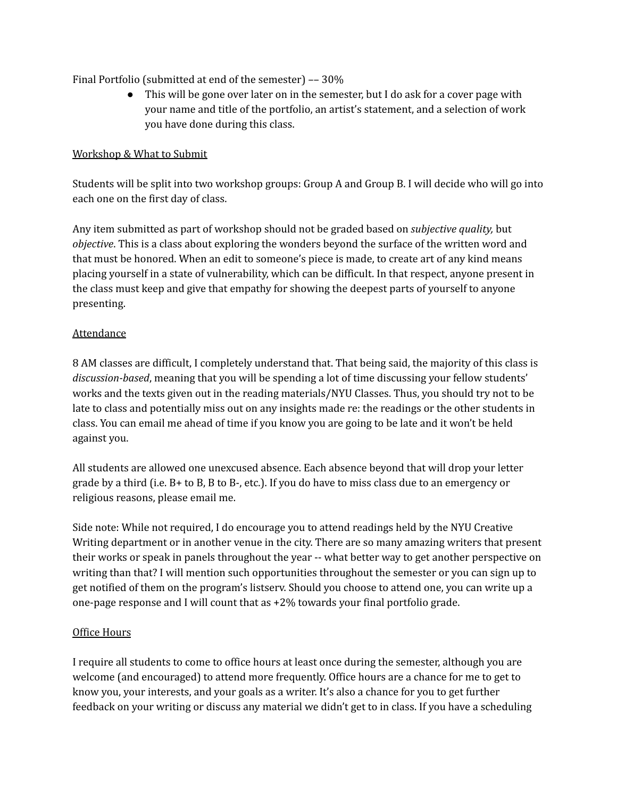Final Portfolio (submitted at end of the semester) –– 30%

● This will be gone over later on in the semester, but I do ask for a cover page with your name and title of the portfolio, an artist's statement, and a selection of work you have done during this class.

#### Workshop & What to Submit

Students will be split into two workshop groups: Group A and Group B. I will decide who will go into each one on the first day of class.

Any item submitted as part of workshop should not be graded based on *subjective quality,* but *objective*. This is a class about exploring the wonders beyond the surface of the written word and that must be honored. When an edit to someone's piece is made, to create art of any kind means placing yourself in a state of vulnerability, which can be difficult. In that respect, anyone present in the class must keep and give that empathy for showing the deepest parts of yourself to anyone presenting.

### **Attendance**

8 AM classes are difficult, I completely understand that. That being said, the majority of this class is *discussion-based*, meaning that you will be spending a lot of time discussing your fellow students' works and the texts given out in the reading materials/NYU Classes. Thus, you should try not to be late to class and potentially miss out on any insights made re: the readings or the other students in class. You can email me ahead of time if you know you are going to be late and it won't be held against you.

All students are allowed one unexcused absence. Each absence beyond that will drop your letter grade by a third (i.e. B+ to B, B to B-, etc.). If you do have to miss class due to an emergency or religious reasons, please email me.

Side note: While not required, I do encourage you to attend readings held by the NYU Creative Writing department or in another venue in the city. There are so many amazing writers that present their works or speak in panels throughout the year -- what better way to get another perspective on writing than that? I will mention such opportunities throughout the semester or you can sign up to get notified of them on the program's listserv. Should you choose to attend one, you can write up a one-page response and I will count that as +2% towards your final portfolio grade.

#### Office Hours

I require all students to come to office hours at least once during the semester, although you are welcome (and encouraged) to attend more frequently. Office hours are a chance for me to get to know you, your interests, and your goals as a writer. It's also a chance for you to get further feedback on your writing or discuss any material we didn't get to in class. If you have a scheduling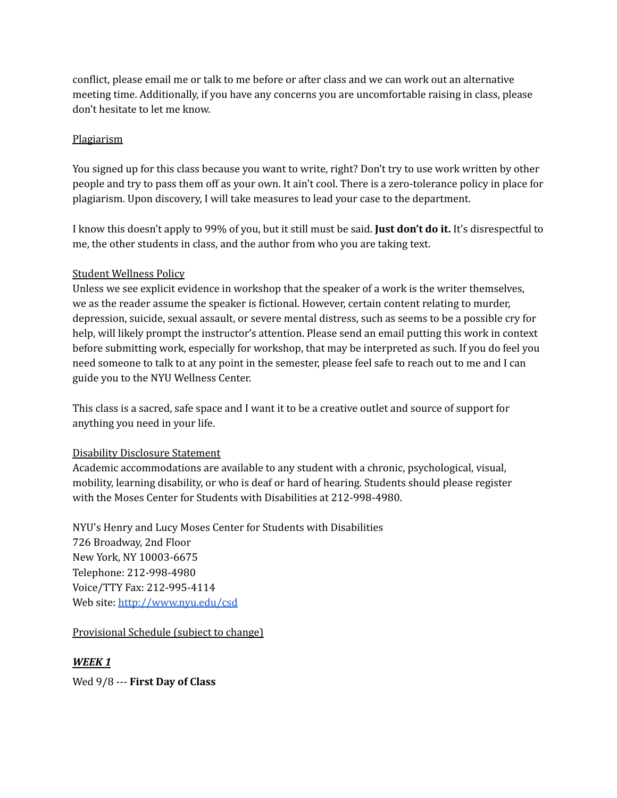conflict, please email me or talk to me before or after class and we can work out an alternative meeting time. Additionally, if you have any concerns you are uncomfortable raising in class, please don't hesitate to let me know.

### Plagiarism

You signed up for this class because you want to write, right? Don't try to use work written by other people and try to pass them off as your own. It ain't cool. There is a zero-tolerance policy in place for plagiarism. Upon discovery, I will take measures to lead your case to the department.

I know this doesn't apply to 99% of you, but it still must be said. **Just don't do it.** It's disrespectful to me, the other students in class, and the author from who you are taking text.

### Student Wellness Policy

Unless we see explicit evidence in workshop that the speaker of a work is the writer themselves, we as the reader assume the speaker is fictional. However, certain content relating to murder, depression, suicide, sexual assault, or severe mental distress, such as seems to be a possible cry for help, will likely prompt the instructor's attention. Please send an email putting this work in context before submitting work, especially for workshop, that may be interpreted as such. If you do feel you need someone to talk to at any point in the semester, please feel safe to reach out to me and I can guide you to the NYU Wellness Center.

This class is a sacred, safe space and I want it to be a creative outlet and source of support for anything you need in your life.

#### Disability Disclosure Statement

Academic accommodations are available to any student with a chronic, psychological, visual, mobility, learning disability, or who is deaf or hard of hearing. Students should please register with the Moses Center for Students with Disabilities at 212-998-4980.

NYU's Henry and Lucy Moses Center for Students with Disabilities 726 Broadway, 2nd Floor New York, NY 10003-6675 Telephone: 212-998-4980 Voice/TTY Fax: 212-995-4114 Web site: <http://www.nyu.edu/csd>

# Provisional Schedule (subject to change)

# *WEEK 1*

Wed 9/8 --- **First Day of Class**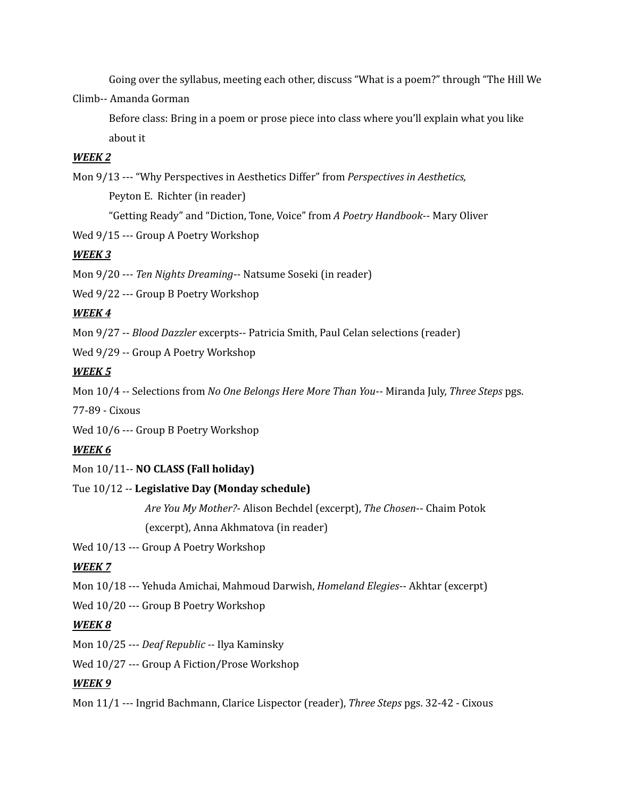Going over the syllabus, meeting each other, discuss "What is a poem?" through "The Hill We

Climb-- Amanda Gorman

Before class: Bring in a poem or prose piece into class where you'll explain what you like about it

#### *WEEK 2*

Mon 9/13 --- "Why Perspectives in Aesthetics Differ" from *Perspectives in Aesthetics,* Peyton E. Richter (in reader) "Getting Ready" and "Diction, Tone, Voice" from *A Poetry Handbook*-- Mary Oliver

Wed 9/15 --- Group A Poetry Workshop

# *WEEK 3*

Mon 9/20 --- *Ten Nights Dreaming*-- Natsume Soseki (in reader)

Wed 9/22 --- Group B Poetry Workshop

# *WEEK 4*

Mon 9/27 -- *Blood Dazzler* excerpts-- Patricia Smith, Paul Celan selections (reader)

Wed 9/29 -- Group A Poetry Workshop

# *WEEK 5*

Mon 10/4 -- Selections from *No One Belongs Here More Than You*-- Miranda July, *Three Steps* pgs.

77-89 - Cixous

Wed 10/6 --- Group B Poetry Workshop

# *WEEK 6*

Mon 10/11-- **NO CLASS (Fall holiday)**

# Tue 10/12 -- **Legislative Day (Monday schedule)**

*Are You My Mother?*- Alison Bechdel (excerpt), *The Chosen*-- Chaim Potok (excerpt), Anna Akhmatova (in reader)

Wed 10/13 --- Group A Poetry Workshop

# *WEEK 7*

Mon 10/18 --- Yehuda Amichai, Mahmoud Darwish, *Homeland Elegies*-- Akhtar (excerpt)

Wed 10/20 --- Group B Poetry Workshop

# *WEEK 8*

Mon 10/25 --- *Deaf Republic --* Ilya Kaminsky

Wed 10/27 --- Group A Fiction/Prose Workshop

# *WEEK 9*

Mon 11/1 --- Ingrid Bachmann, Clarice Lispector (reader), *Three Steps* pgs. 32-42 - Cixous